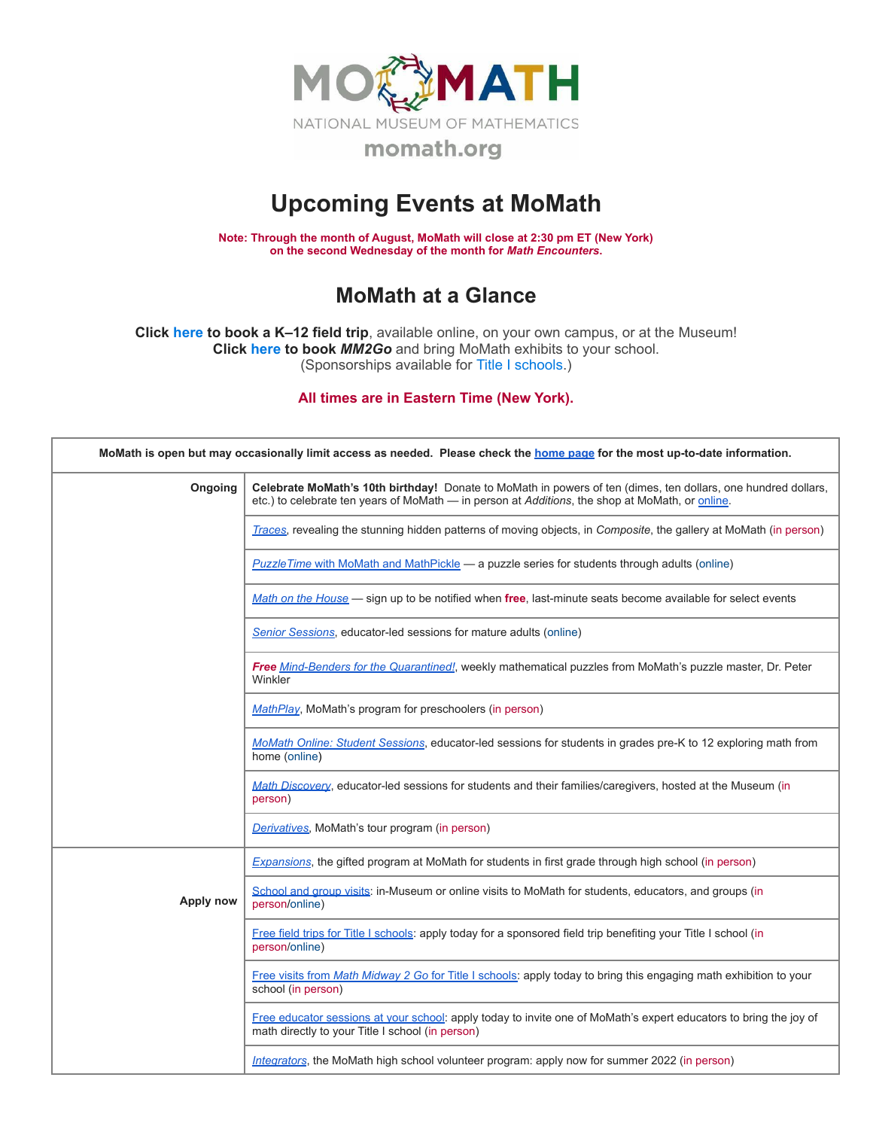

## **Upcoming Events at MoMath**

**Note: Through the month of August, MoMath will close at 2:30 pm ET (New York) on the second Wednesday of the month for** *Math [Encounters](http://mathencounters.org/)***.**

## **MoMath at a Glance**

**Click [here](http://fieldtrips.momath.org/) to book a K–12 field trip**, available online, on your own campus, or at the Museum! **Click [here](http://mm2go.momath.org/) to book** *MM2Go* and bring MoMath exhibits to your school. (Sponsorships available for Title I [schools.](http://titleone.momath.org/))

**All times are in Eastern Time (New York).**

| MoMath is open but may occasionally limit access as needed. Please check the home page for the most up-to-date information. |                                                                                                                                                                                                                  |  |  |
|-----------------------------------------------------------------------------------------------------------------------------|------------------------------------------------------------------------------------------------------------------------------------------------------------------------------------------------------------------|--|--|
| Ongoing                                                                                                                     | Celebrate MoMath's 10th birthday! Donate to MoMath in powers of ten (dimes, ten dollars, one hundred dollars,<br>etc.) to celebrate ten years of MoMath - in person at Additions, the shop at MoMath, or online. |  |  |
|                                                                                                                             | Traces, revealing the stunning hidden patterns of moving objects, in Composite, the gallery at MoMath (in person)                                                                                                |  |  |
|                                                                                                                             | PuzzleTime with MoMath and MathPickle - a puzzle series for students through adults (online)                                                                                                                     |  |  |
|                                                                                                                             | Math on the House — sign up to be notified when free, last-minute seats become available for select events                                                                                                       |  |  |
|                                                                                                                             | <b>Senior Sessions, educator-led sessions for mature adults (online)</b>                                                                                                                                         |  |  |
|                                                                                                                             | Free Mind-Benders for the Quarantined!, weekly mathematical puzzles from MoMath's puzzle master, Dr. Peter<br>Winkler                                                                                            |  |  |
|                                                                                                                             | MathPlay, MoMath's program for preschoolers (in person)                                                                                                                                                          |  |  |
|                                                                                                                             | MoMath Online: Student Sessions, educator-led sessions for students in grades pre-K to 12 exploring math from<br>home (online)                                                                                   |  |  |
|                                                                                                                             | Math Discovery, educator-led sessions for students and their families/caregivers, hosted at the Museum (in<br>person)                                                                                            |  |  |
|                                                                                                                             | Derivatives, MoMath's tour program (in person)                                                                                                                                                                   |  |  |
|                                                                                                                             | Expansions, the gifted program at MoMath for students in first grade through high school (in person)                                                                                                             |  |  |
| Apply now                                                                                                                   | School and group visits: in-Museum or online visits to MoMath for students, educators, and groups (in<br>person/online)                                                                                          |  |  |
|                                                                                                                             | Free field trips for Title I schools: apply today for a sponsored field trip benefiting your Title I school (in<br>person/online)                                                                                |  |  |
|                                                                                                                             | Free visits from Math Midway 2 Go for Title I schools: apply today to bring this engaging math exhibition to your<br>school (in person)                                                                          |  |  |
|                                                                                                                             | Free educator sessions at your school: apply today to invite one of MoMath's expert educators to bring the joy of<br>math directly to your Title I school (in person)                                            |  |  |
|                                                                                                                             | Integrators, the MoMath high school volunteer program: apply now for summer 2022 (in person)                                                                                                                     |  |  |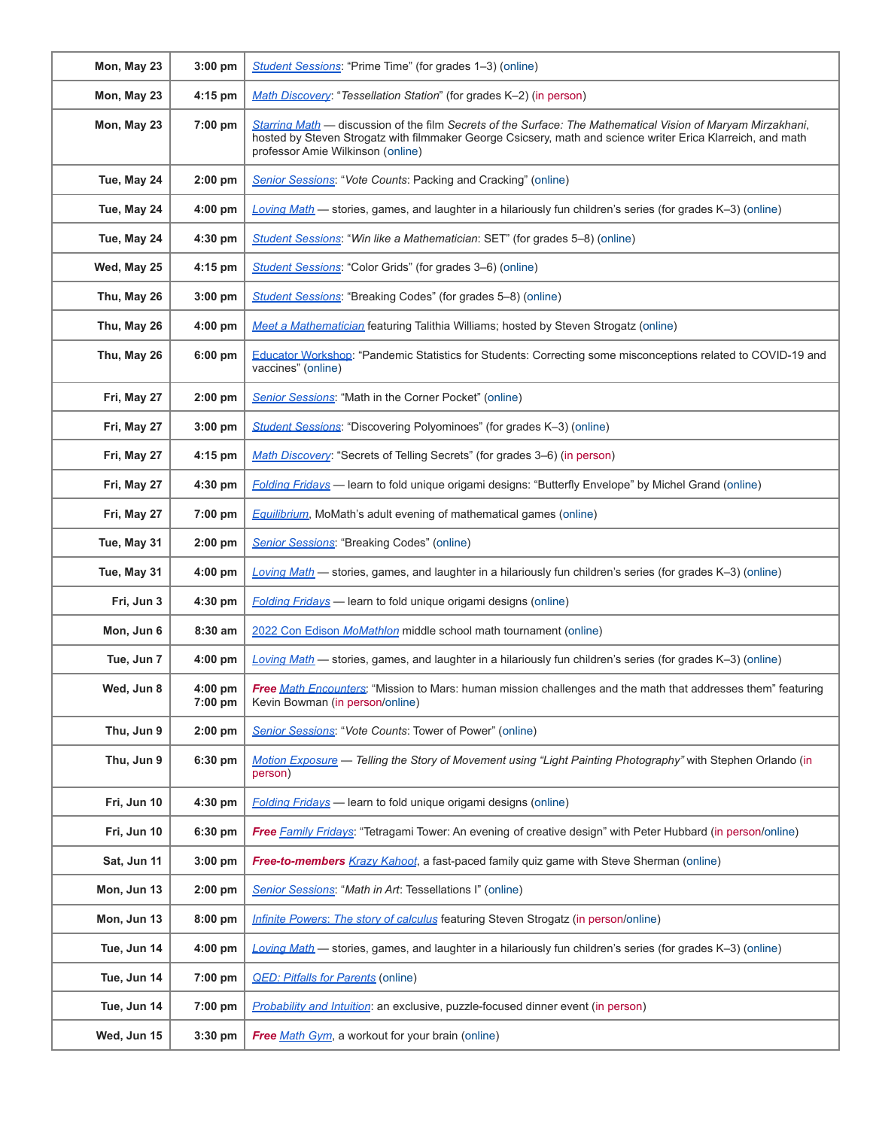| Mon, May 23 | 3:00 pm              | Student Sessions: "Prime Time" (for grades 1-3) (online)                                                                                                                                                                                                         |
|-------------|----------------------|------------------------------------------------------------------------------------------------------------------------------------------------------------------------------------------------------------------------------------------------------------------|
| Mon, May 23 | $4:15$ pm            | Math Discovery: "Tessellation Station" (for grades K-2) (in person)                                                                                                                                                                                              |
| Mon, May 23 | 7:00 pm              | Starring Math — discussion of the film Secrets of the Surface: The Mathematical Vision of Maryam Mirzakhani,<br>hosted by Steven Strogatz with filmmaker George Csicsery, math and science writer Erica Klarreich, and math<br>professor Amie Wilkinson (online) |
| Tue, May 24 | $2:00$ pm            | Senior Sessions: "Vote Counts: Packing and Cracking" (online)                                                                                                                                                                                                    |
| Tue, May 24 | $4:00$ pm            | Loving Math — stories, games, and laughter in a hilariously fun children's series (for grades K-3) (online)                                                                                                                                                      |
| Tue, May 24 | 4:30 pm              | Student Sessions: "Win like a Mathematician: SET" (for grades 5–8) (online)                                                                                                                                                                                      |
| Wed, May 25 | 4:15 pm              | Student Sessions: "Color Grids" (for grades 3-6) (online)                                                                                                                                                                                                        |
| Thu, May 26 | $3:00$ pm            | <b>Student Sessions: "Breaking Codes" (for grades 5–8) (online)</b>                                                                                                                                                                                              |
| Thu, May 26 | $4:00$ pm            | Meet a Mathematician featuring Talithia Williams; hosted by Steven Strogatz (online)                                                                                                                                                                             |
| Thu, May 26 | 6:00 pm              | Educator Workshop: "Pandemic Statistics for Students: Correcting some misconceptions related to COVID-19 and<br>vaccines" (online)                                                                                                                               |
| Fri, May 27 | $2:00$ pm            | Senior Sessions: "Math in the Corner Pocket" (online)                                                                                                                                                                                                            |
| Fri, May 27 | 3:00 pm              | Student Sessions: "Discovering Polyominoes" (for grades K-3) (online)                                                                                                                                                                                            |
| Fri, May 27 | $4:15$ pm            | Math Discovery: "Secrets of Telling Secrets" (for grades 3-6) (in person)                                                                                                                                                                                        |
| Fri, May 27 | $4:30$ pm            | <b>Folding Fridays</b> — learn to fold unique origami designs: "Butterfly Envelope" by Michel Grand (online)                                                                                                                                                     |
| Fri, May 27 | 7:00 pm              | <b>Equilibrium</b> , MoMath's adult evening of mathematical games (online)                                                                                                                                                                                       |
| Tue, May 31 | $2:00$ pm            | Senior Sessions: "Breaking Codes" (online)                                                                                                                                                                                                                       |
| Tue, May 31 | $4:00$ pm            | Loving Math - stories, games, and laughter in a hilariously fun children's series (for grades K-3) (online)                                                                                                                                                      |
| Fri, Jun 3  | $4:30$ pm            | <b>Folding Fridays</b> — learn to fold unique origami designs (online)                                                                                                                                                                                           |
| Mon, Jun 6  | 8:30 am              | 2022 Con Edison MoMathlon middle school math tournament (online)                                                                                                                                                                                                 |
| Tue, Jun 7  | $4:00$ pm            | Loving Math $-$ stories, games, and laughter in a hilariously fun children's series (for grades K-3) (online)                                                                                                                                                    |
| Wed, Jun 8  | $4:00$ pm<br>7:00 pm | <b>Free Math Encounters:</b> "Mission to Mars: human mission challenges and the math that addresses them" featuring<br>Kevin Bowman (in person/online)                                                                                                           |
| Thu, Jun 9  | $2:00$ pm            | Senior Sessions: "Vote Counts: Tower of Power" (online)                                                                                                                                                                                                          |
| Thu, Jun 9  | 6:30 pm              | Motion Exposure - Telling the Story of Movement using "Light Painting Photography" with Stephen Orlando (in<br>person)                                                                                                                                           |
| Fri, Jun 10 | 4:30 pm              | <b>Folding Fridays</b> - learn to fold unique origami designs (online)                                                                                                                                                                                           |
| Fri, Jun 10 | 6:30 pm              | Free Family Fridays: "Tetragami Tower: An evening of creative design" with Peter Hubbard (in person/online)                                                                                                                                                      |
| Sat, Jun 11 | 3:00 pm              | Free-to-members Krazy Kahoot, a fast-paced family quiz game with Steve Sherman (online)                                                                                                                                                                          |
| Mon, Jun 13 | $2:00$ pm            | Senior Sessions: "Math in Art: Tessellations I" (online)                                                                                                                                                                                                         |
| Mon, Jun 13 | $8:00$ pm            | Infinite Powers: The story of calculus featuring Steven Strogatz (in person/online)                                                                                                                                                                              |
| Tue, Jun 14 | 4:00 pm              | Loving Math - stories, games, and laughter in a hilariously fun children's series (for grades K-3) (online)                                                                                                                                                      |
| Tue, Jun 14 | 7:00 pm              | <b>QED: Pitfalls for Parents (online)</b>                                                                                                                                                                                                                        |
| Tue, Jun 14 | 7:00 pm              | <i>Probability and Intuition:</i> an exclusive, puzzle-focused dinner event (in person)                                                                                                                                                                          |
| Wed, Jun 15 | 3:30 pm              | Free Math Gym, a workout for your brain (online)                                                                                                                                                                                                                 |